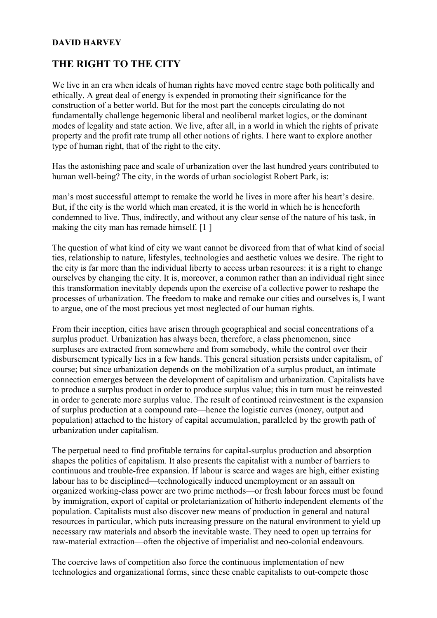## **DAVID HARVEY**

# **THE RIGHT TO THE CITY**

We live in an era when ideals of human rights have moved centre stage both politically and ethically. A great deal of energy is expended in promoting their significance for the construction of a better world. But for the most part the concepts circulating do not fundamentally challenge hegemonic liberal and neoliberal market logics, or the dominant modes of legality and state action. We live, after all, in a world in which the rights of private property and the profit rate trump all other notions of rights. I here want to explore another type of human right, that of the right to the city.

Has the astonishing pace and scale of urbanization over the last hundred years contributed to human well-being? The city, in the words of urban sociologist Robert Park, is:

man's most successful attempt to remake the world he lives in more after his heart's desire. But, if the city is the world which man created, it is the world in which he is henceforth condemned to live. Thus, indirectly, and without any clear sense of the nature of his task, in making the city man has remade himself. [1]

The question of what kind of city we want cannot be divorced from that of what kind of social ties, relationship to nature, lifestyles, technologies and aesthetic values we desire. The right to the city is far more than the individual liberty to access urban resources: it is a right to change ourselves by changing the city. It is, moreover, a common rather than an individual right since this transformation inevitably depends upon the exercise of a collective power to reshape the processes of urbanization. The freedom to make and remake our cities and ourselves is, I want to argue, one of the most precious yet most neglected of our human rights.

From their inception, cities have arisen through geographical and social concentrations of a surplus product. Urbanization has always been, therefore, a class phenomenon, since surpluses are extracted from somewhere and from somebody, while the control over their disbursement typically lies in a few hands. This general situation persists under capitalism, of course; but since urbanization depends on the mobilization of a surplus product, an intimate connection emerges between the development of capitalism and urbanization. Capitalists have to produce a surplus product in order to produce surplus value; this in turn must be reinvested in order to generate more surplus value. The result of continued reinvestment is the expansion of surplus production at a compound rate—hence the logistic curves (money, output and population) attached to the history of capital accumulation, paralleled by the growth path of urbanization under capitalism.

The perpetual need to find profitable terrains for capital-surplus production and absorption shapes the politics of capitalism. It also presents the capitalist with a number of barriers to continuous and trouble-free expansion. If labour is scarce and wages are high, either existing labour has to be disciplined—technologically induced unemployment or an assault on organized working-class power are two prime methods—or fresh labour forces must be found by immigration, export of capital or proletarianization of hitherto independent elements of the population. Capitalists must also discover new means of production in general and natural resources in particular, which puts increasing pressure on the natural environment to yield up necessary raw materials and absorb the inevitable waste. They need to open up terrains for raw-material extraction—often the objective of imperialist and neo-colonial endeavours.

The coercive laws of competition also force the continuous implementation of new technologies and organizational forms, since these enable capitalists to out-compete those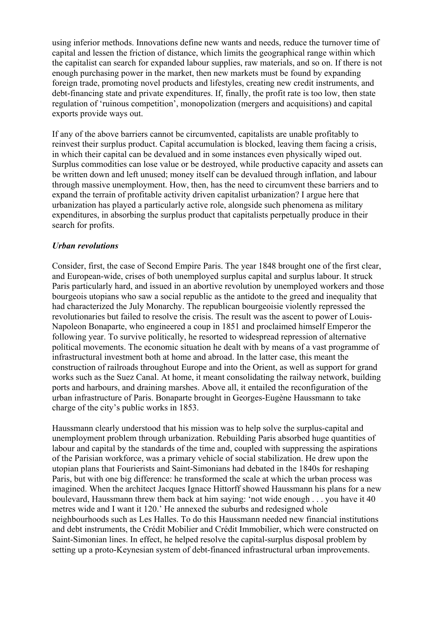using inferior methods. Innovations define new wants and needs, reduce the turnover time of capital and lessen the friction of distance, which limits the geographical range within which the capitalist can search for expanded labour supplies, raw materials, and so on. If there is not enough purchasing power in the market, then new markets must be found by expanding foreign trade, promoting novel products and lifestyles, creating new credit instruments, and debt-financing state and private expenditures. If, finally, the profit rate is too low, then state regulation of 'ruinous competition', monopolization (mergers and acquisitions) and capital exports provide ways out.

If any of the above barriers cannot be circumvented, capitalists are unable profitably to reinvest their surplus product. Capital accumulation is blocked, leaving them facing a crisis, in which their capital can be devalued and in some instances even physically wiped out. Surplus commodities can lose value or be destroyed, while productive capacity and assets can be written down and left unused; money itself can be devalued through inflation, and labour through massive unemployment. How, then, has the need to circumvent these barriers and to expand the terrain of profitable activity driven capitalist urbanization? I argue here that urbanization has played a particularly active role, alongside such phenomena as military expenditures, in absorbing the surplus product that capitalists perpetually produce in their search for profits.

## *Urban revolutions*

Consider, first, the case of Second Empire Paris. The year 1848 brought one of the first clear, and European-wide, crises of both unemployed surplus capital and surplus labour. It struck Paris particularly hard, and issued in an abortive revolution by unemployed workers and those bourgeois utopians who saw a social republic as the antidote to the greed and inequality that had characterized the July Monarchy. The republican bourgeoisie violently repressed the revolutionaries but failed to resolve the crisis. The result was the ascent to power of Louis-Napoleon Bonaparte, who engineered a coup in 1851 and proclaimed himself Emperor the following year. To survive politically, he resorted to widespread repression of alternative political movements. The economic situation he dealt with by means of a vast programme of infrastructural investment both at home and abroad. In the latter case, this meant the construction of railroads throughout Europe and into the Orient, as well as support for grand works such as the Suez Canal. At home, it meant consolidating the railway network, building ports and harbours, and draining marshes. Above all, it entailed the reconfiguration of the urban infrastructure of Paris. Bonaparte brought in Georges-Eugène Haussmann to take charge of the city's public works in 1853.

Haussmann clearly understood that his mission was to help solve the surplus-capital and unemployment problem through urbanization. Rebuilding Paris absorbed huge quantities of labour and capital by the standards of the time and, coupled with suppressing the aspirations of the Parisian workforce, was a primary vehicle of social stabilization. He drew upon the utopian plans that Fourierists and Saint-Simonians had debated in the 1840s for reshaping Paris, but with one big difference: he transformed the scale at which the urban process was imagined. When the architect Jacques Ignace Hittorff showed Haussmann his plans for a new boulevard, Haussmann threw them back at him saying: 'not wide enough . . . you have it 40 metres wide and I want it 120.' He annexed the suburbs and redesigned whole neighbourhoods such as Les Halles. To do this Haussmann needed new financial institutions and debt instruments, the Crédit Mobilier and Crédit Immobilier, which were constructed on Saint-Simonian lines. In effect, he helped resolve the capital-surplus disposal problem by setting up a proto-Keynesian system of debt-financed infrastructural urban improvements.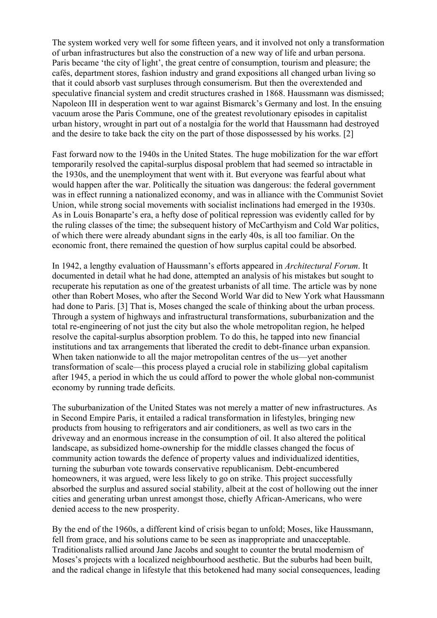The system worked very well for some fifteen years, and it involved not only a transformation of urban infrastructures but also the construction of a new way of life and urban persona. Paris became 'the city of light', the great centre of consumption, tourism and pleasure; the cafés, department stores, fashion industry and grand expositions all changed urban living so that it could absorb vast surpluses through consumerism. But then the overextended and speculative financial system and credit structures crashed in 1868. Haussmann was dismissed; Napoleon III in desperation went to war against Bismarck's Germany and lost. In the ensuing vacuum arose the Paris Commune, one of the greatest revolutionary episodes in capitalist urban history, wrought in part out of a nostalgia for the world that Haussmann had destroyed and the desire to take back the city on the part of those dispossessed by his works. [2]

Fast forward now to the 1940s in the United States. The huge mobilization for the war effort temporarily resolved the capital-surplus disposal problem that had seemed so intractable in the 1930s, and the unemployment that went with it. But everyone was fearful about what would happen after the war. Politically the situation was dangerous: the federal government was in effect running a nationalized economy, and was in alliance with the Communist Soviet Union, while strong social movements with socialist inclinations had emerged in the 1930s. As in Louis Bonaparte's era, a hefty dose of political repression was evidently called for by the ruling classes of the time; the subsequent history of McCarthyism and Cold War politics, of which there were already abundant signs in the early 40s, is all too familiar. On the economic front, there remained the question of how surplus capital could be absorbed.

In 1942, a lengthy evaluation of Haussmann's efforts appeared in *Architectural Forum*. It documented in detail what he had done, attempted an analysis of his mistakes but sought to recuperate his reputation as one of the greatest urbanists of all time. The article was by none other than Robert Moses, who after the Second World War did to New York what Haussmann had done to Paris. [3] That is, Moses changed the scale of thinking about the urban process. Through a system of highways and infrastructural transformations, suburbanization and the total re-engineering of not just the city but also the whole metropolitan region, he helped resolve the capital-surplus absorption problem. To do this, he tapped into new financial institutions and tax arrangements that liberated the credit to debt-finance urban expansion. When taken nationwide to all the major metropolitan centres of the us—yet another transformation of scale—this process played a crucial role in stabilizing global capitalism after 1945, a period in which the us could afford to power the whole global non-communist economy by running trade deficits.

The suburbanization of the United States was not merely a matter of new infrastructures. As in Second Empire Paris, it entailed a radical transformation in lifestyles, bringing new products from housing to refrigerators and air conditioners, as well as two cars in the driveway and an enormous increase in the consumption of oil. It also altered the political landscape, as subsidized home-ownership for the middle classes changed the focus of community action towards the defence of property values and individualized identities, turning the suburban vote towards conservative republicanism. Debt-encumbered homeowners, it was argued, were less likely to go on strike. This project successfully absorbed the surplus and assured social stability, albeit at the cost of hollowing out the inner cities and generating urban unrest amongst those, chiefly African-Americans, who were denied access to the new prosperity.

By the end of the 1960s, a different kind of crisis began to unfold; Moses, like Haussmann, fell from grace, and his solutions came to be seen as inappropriate and unacceptable. Traditionalists rallied around Jane Jacobs and sought to counter the brutal modernism of Moses's projects with a localized neighbourhood aesthetic. But the suburbs had been built, and the radical change in lifestyle that this betokened had many social consequences, leading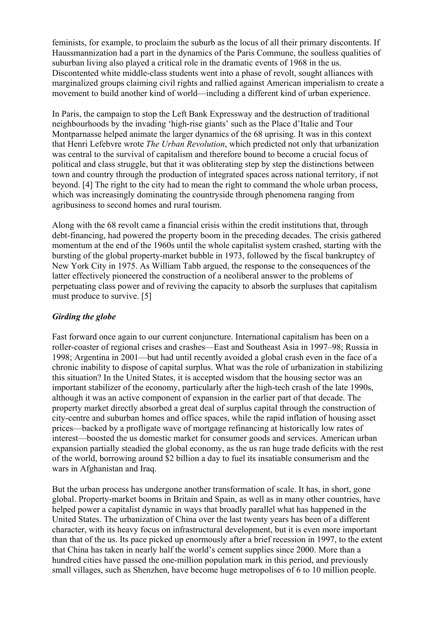feminists, for example, to proclaim the suburb as the locus of all their primary discontents. If Haussmannization had a part in the dynamics of the Paris Commune, the soulless qualities of suburban living also played a critical role in the dramatic events of 1968 in the us. Discontented white middle-class students went into a phase of revolt, sought alliances with marginalized groups claiming civil rights and rallied against American imperialism to create a movement to build another kind of world—including a different kind of urban experience.

In Paris, the campaign to stop the Left Bank Expressway and the destruction of traditional neighbourhoods by the invading 'high-rise giants' such as the Place d'Italie and Tour Montparnasse helped animate the larger dynamics of the 68 uprising. It was in this context that Henri Lefebvre wrote *The Urban Revolution*, which predicted not only that urbanization was central to the survival of capitalism and therefore bound to become a crucial focus of political and class struggle, but that it was obliterating step by step the distinctions between town and country through the production of integrated spaces across national territory, if not beyond. [4] The right to the city had to mean the right to command the whole urban process, which was increasingly dominating the countryside through phenomena ranging from agribusiness to second homes and rural tourism.

Along with the 68 revolt came a financial crisis within the credit institutions that, through debt-financing, had powered the property boom in the preceding decades. The crisis gathered momentum at the end of the 1960s until the whole capitalist system crashed, starting with the bursting of the global property-market bubble in 1973, followed by the fiscal bankruptcy of New York City in 1975. As William Tabb argued, the response to the consequences of the latter effectively pioneered the construction of a neoliberal answer to the problems of perpetuating class power and of reviving the capacity to absorb the surpluses that capitalism must produce to survive. [5]

## *Girding the globe*

Fast forward once again to our current conjuncture. International capitalism has been on a roller-coaster of regional crises and crashes—East and Southeast Asia in 1997–98; Russia in 1998; Argentina in 2001—but had until recently avoided a global crash even in the face of a chronic inability to dispose of capital surplus. What was the role of urbanization in stabilizing this situation? In the United States, it is accepted wisdom that the housing sector was an important stabilizer of the economy, particularly after the high-tech crash of the late 1990s, although it was an active component of expansion in the earlier part of that decade. The property market directly absorbed a great deal of surplus capital through the construction of city-centre and suburban homes and office spaces, while the rapid inflation of housing asset prices—backed by a profligate wave of mortgage refinancing at historically low rates of interest—boosted the us domestic market for consumer goods and services. American urban expansion partially steadied the global economy, as the us ran huge trade deficits with the rest of the world, borrowing around \$2 billion a day to fuel its insatiable consumerism and the wars in Afghanistan and Iraq.

But the urban process has undergone another transformation of scale. It has, in short, gone global. Property-market booms in Britain and Spain, as well as in many other countries, have helped power a capitalist dynamic in ways that broadly parallel what has happened in the United States. The urbanization of China over the last twenty years has been of a different character, with its heavy focus on infrastructural development, but it is even more important than that of the us. Its pace picked up enormously after a brief recession in 1997, to the extent that China has taken in nearly half the world's cement supplies since 2000. More than a hundred cities have passed the one-million population mark in this period, and previously small villages, such as Shenzhen, have become huge metropolises of 6 to 10 million people.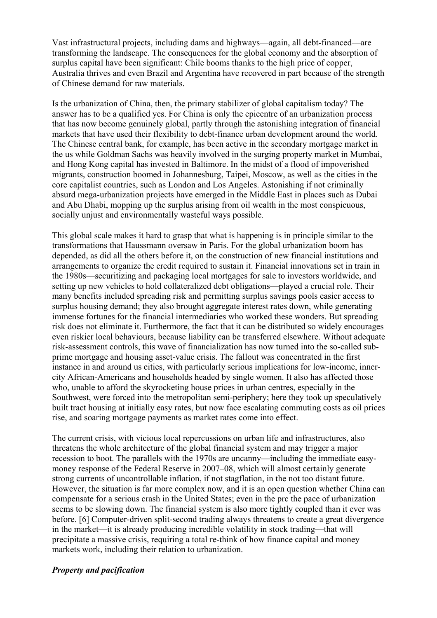Vast infrastructural projects, including dams and highways—again, all debt-financed—are transforming the landscape. The consequences for the global economy and the absorption of surplus capital have been significant: Chile booms thanks to the high price of copper, Australia thrives and even Brazil and Argentina have recovered in part because of the strength of Chinese demand for raw materials.

Is the urbanization of China, then, the primary stabilizer of global capitalism today? The answer has to be a qualified yes. For China is only the epicentre of an urbanization process that has now become genuinely global, partly through the astonishing integration of financial markets that have used their flexibility to debt-finance urban development around the world. The Chinese central bank, for example, has been active in the secondary mortgage market in the us while Goldman Sachs was heavily involved in the surging property market in Mumbai, and Hong Kong capital has invested in Baltimore. In the midst of a flood of impoverished migrants, construction boomed in Johannesburg, Taipei, Moscow, as well as the cities in the core capitalist countries, such as London and Los Angeles. Astonishing if not criminally absurd mega-urbanization projects have emerged in the Middle East in places such as Dubai and Abu Dhabi, mopping up the surplus arising from oil wealth in the most conspicuous, socially unjust and environmentally wasteful ways possible.

This global scale makes it hard to grasp that what is happening is in principle similar to the transformations that Haussmann oversaw in Paris. For the global urbanization boom has depended, as did all the others before it, on the construction of new financial institutions and arrangements to organize the credit required to sustain it. Financial innovations set in train in the 1980s—securitizing and packaging local mortgages for sale to investors worldwide, and setting up new vehicles to hold collateralized debt obligations—played a crucial role. Their many benefits included spreading risk and permitting surplus savings pools easier access to surplus housing demand; they also brought aggregate interest rates down, while generating immense fortunes for the financial intermediaries who worked these wonders. But spreading risk does not eliminate it. Furthermore, the fact that it can be distributed so widely encourages even riskier local behaviours, because liability can be transferred elsewhere. Without adequate risk-assessment controls, this wave of financialization has now turned into the so-called subprime mortgage and housing asset-value crisis. The fallout was concentrated in the first instance in and around us cities, with particularly serious implications for low-income, innercity African-Americans and households headed by single women. It also has affected those who, unable to afford the skyrocketing house prices in urban centres, especially in the Southwest, were forced into the metropolitan semi-periphery; here they took up speculatively built tract housing at initially easy rates, but now face escalating commuting costs as oil prices rise, and soaring mortgage payments as market rates come into effect.

The current crisis, with vicious local repercussions on urban life and infrastructures, also threatens the whole architecture of the global financial system and may trigger a major recession to boot. The parallels with the 1970s are uncanny—including the immediate easymoney response of the Federal Reserve in 2007–08, which will almost certainly generate strong currents of uncontrollable inflation, if not stagflation, in the not too distant future. However, the situation is far more complex now, and it is an open question whether China can compensate for a serious crash in the United States; even in the prc the pace of urbanization seems to be slowing down. The financial system is also more tightly coupled than it ever was before. [6] Computer-driven split-second trading always threatens to create a great divergence in the market—it is already producing incredible volatility in stock trading—that will precipitate a massive crisis, requiring a total re-think of how finance capital and money markets work, including their relation to urbanization.

### *Property and pacification*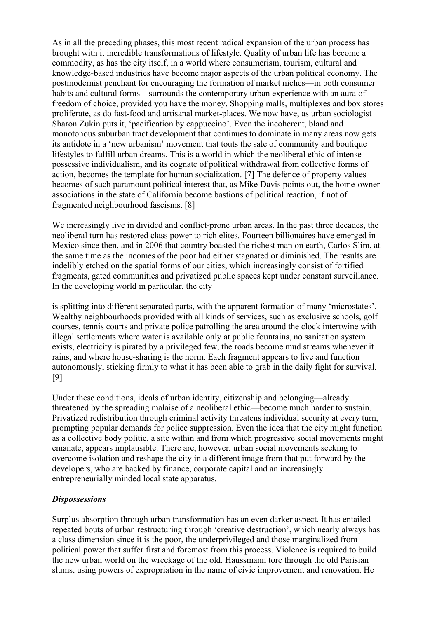As in all the preceding phases, this most recent radical expansion of the urban process has brought with it incredible transformations of lifestyle. Quality of urban life has become a commodity, as has the city itself, in a world where consumerism, tourism, cultural and knowledge-based industries have become major aspects of the urban political economy. The postmodernist penchant for encouraging the formation of market niches—in both consumer habits and cultural forms—surrounds the contemporary urban experience with an aura of freedom of choice, provided you have the money. Shopping malls, multiplexes and box stores proliferate, as do fast-food and artisanal market-places. We now have, as urban sociologist Sharon Zukin puts it, 'pacification by cappuccino'. Even the incoherent, bland and monotonous suburban tract development that continues to dominate in many areas now gets its antidote in a 'new urbanism' movement that touts the sale of community and boutique lifestyles to fulfill urban dreams. This is a world in which the neoliberal ethic of intense possessive individualism, and its cognate of political withdrawal from collective forms of action, becomes the template for human socialization. [7] The defence of property values becomes of such paramount political interest that, as Mike Davis points out, the home-owner associations in the state of California become bastions of political reaction, if not of fragmented neighbourhood fascisms. [8]

We increasingly live in divided and conflict-prone urban areas. In the past three decades, the neoliberal turn has restored class power to rich elites. Fourteen billionaires have emerged in Mexico since then, and in 2006 that country boasted the richest man on earth, Carlos Slim, at the same time as the incomes of the poor had either stagnated or diminished. The results are indelibly etched on the spatial forms of our cities, which increasingly consist of fortified fragments, gated communities and privatized public spaces kept under constant surveillance. In the developing world in particular, the city

is splitting into different separated parts, with the apparent formation of many 'microstates'. Wealthy neighbourhoods provided with all kinds of services, such as exclusive schools, golf courses, tennis courts and private police patrolling the area around the clock intertwine with illegal settlements where water is available only at public fountains, no sanitation system exists, electricity is pirated by a privileged few, the roads become mud streams whenever it rains, and where house-sharing is the norm. Each fragment appears to live and function autonomously, sticking firmly to what it has been able to grab in the daily fight for survival. [9]

Under these conditions, ideals of urban identity, citizenship and belonging—already threatened by the spreading malaise of a neoliberal ethic—become much harder to sustain. Privatized redistribution through criminal activity threatens individual security at every turn, prompting popular demands for police suppression. Even the idea that the city might function as a collective body politic, a site within and from which progressive social movements might emanate, appears implausible. There are, however, urban social movements seeking to overcome isolation and reshape the city in a different image from that put forward by the developers, who are backed by finance, corporate capital and an increasingly entrepreneurially minded local state apparatus.

### *Dispossessions*

Surplus absorption through urban transformation has an even darker aspect. It has entailed repeated bouts of urban restructuring through 'creative destruction', which nearly always has a class dimension since it is the poor, the underprivileged and those marginalized from political power that suffer first and foremost from this process. Violence is required to build the new urban world on the wreckage of the old. Haussmann tore through the old Parisian slums, using powers of expropriation in the name of civic improvement and renovation. He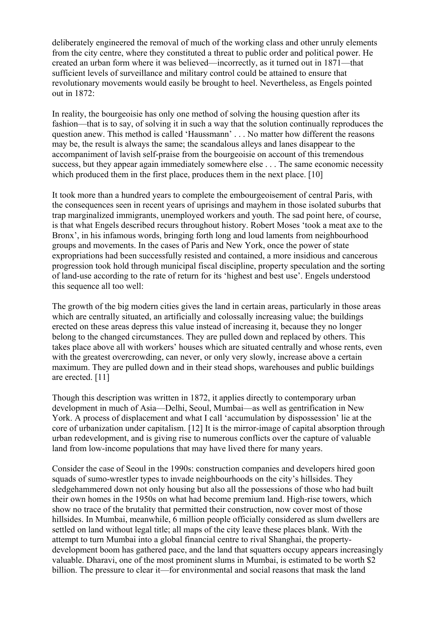deliberately engineered the removal of much of the working class and other unruly elements from the city centre, where they constituted a threat to public order and political power. He created an urban form where it was believed—incorrectly, as it turned out in 1871—that sufficient levels of surveillance and military control could be attained to ensure that revolutionary movements would easily be brought to heel. Nevertheless, as Engels pointed out in 1872:

In reality, the bourgeoisie has only one method of solving the housing question after its fashion—that is to say, of solving it in such a way that the solution continually reproduces the question anew. This method is called 'Haussmann' . . . No matter how different the reasons may be, the result is always the same; the scandalous alleys and lanes disappear to the accompaniment of lavish self-praise from the bourgeoisie on account of this tremendous success, but they appear again immediately somewhere else . . . The same economic necessity which produced them in the first place, produces them in the next place. [10]

It took more than a hundred years to complete the embourgeoisement of central Paris, with the consequences seen in recent years of uprisings and mayhem in those isolated suburbs that trap marginalized immigrants, unemployed workers and youth. The sad point here, of course, is that what Engels described recurs throughout history. Robert Moses 'took a meat axe to the Bronx', in his infamous words, bringing forth long and loud laments from neighbourhood groups and movements. In the cases of Paris and New York, once the power of state expropriations had been successfully resisted and contained, a more insidious and cancerous progression took hold through municipal fiscal discipline, property speculation and the sorting of land-use according to the rate of return for its 'highest and best use'. Engels understood this sequence all too well:

The growth of the big modern cities gives the land in certain areas, particularly in those areas which are centrally situated, an artificially and colossally increasing value; the buildings erected on these areas depress this value instead of increasing it, because they no longer belong to the changed circumstances. They are pulled down and replaced by others. This takes place above all with workers' houses which are situated centrally and whose rents, even with the greatest overcrowding, can never, or only very slowly, increase above a certain maximum. They are pulled down and in their stead shops, warehouses and public buildings are erected. [11]

Though this description was written in 1872, it applies directly to contemporary urban development in much of Asia—Delhi, Seoul, Mumbai—as well as gentrification in New York. A process of displacement and what I call 'accumulation by dispossession' lie at the core of urbanization under capitalism. [12] It is the mirror-image of capital absorption through urban redevelopment, and is giving rise to numerous conflicts over the capture of valuable land from low-income populations that may have lived there for many years.

Consider the case of Seoul in the 1990s: construction companies and developers hired goon squads of sumo-wrestler types to invade neighbourhoods on the city's hillsides. They sledgehammered down not only housing but also all the possessions of those who had built their own homes in the 1950s on what had become premium land. High-rise towers, which show no trace of the brutality that permitted their construction, now cover most of those hillsides. In Mumbai, meanwhile, 6 million people officially considered as slum dwellers are settled on land without legal title; all maps of the city leave these places blank. With the attempt to turn Mumbai into a global financial centre to rival Shanghai, the propertydevelopment boom has gathered pace, and the land that squatters occupy appears increasingly valuable. Dharavi, one of the most prominent slums in Mumbai, is estimated to be worth \$2 billion. The pressure to clear it—for environmental and social reasons that mask the land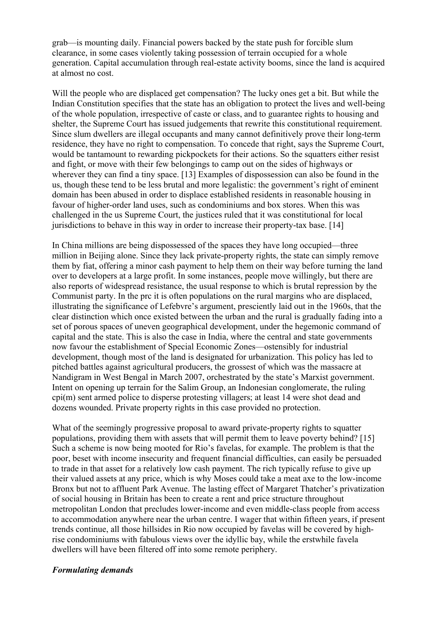grab—is mounting daily. Financial powers backed by the state push for forcible slum clearance, in some cases violently taking possession of terrain occupied for a whole generation. Capital accumulation through real-estate activity booms, since the land is acquired at almost no cost.

Will the people who are displaced get compensation? The lucky ones get a bit. But while the Indian Constitution specifies that the state has an obligation to protect the lives and well-being of the whole population, irrespective of caste or class, and to guarantee rights to housing and shelter, the Supreme Court has issued judgements that rewrite this constitutional requirement. Since slum dwellers are illegal occupants and many cannot definitively prove their long-term residence, they have no right to compensation. To concede that right, says the Supreme Court, would be tantamount to rewarding pickpockets for their actions. So the squatters either resist and fight, or move with their few belongings to camp out on the sides of highways or wherever they can find a tiny space. [13] Examples of dispossession can also be found in the us, though these tend to be less brutal and more legalistic: the government's right of eminent domain has been abused in order to displace established residents in reasonable housing in favour of higher-order land uses, such as condominiums and box stores. When this was challenged in the us Supreme Court, the justices ruled that it was constitutional for local jurisdictions to behave in this way in order to increase their property-tax base. [14]

In China millions are being dispossessed of the spaces they have long occupied—three million in Beijing alone. Since they lack private-property rights, the state can simply remove them by fiat, offering a minor cash payment to help them on their way before turning the land over to developers at a large profit. In some instances, people move willingly, but there are also reports of widespread resistance, the usual response to which is brutal repression by the Communist party. In the prc it is often populations on the rural margins who are displaced, illustrating the significance of Lefebvre's argument, presciently laid out in the 1960s, that the clear distinction which once existed between the urban and the rural is gradually fading into a set of porous spaces of uneven geographical development, under the hegemonic command of capital and the state. This is also the case in India, where the central and state governments now favour the establishment of Special Economic Zones—ostensibly for industrial development, though most of the land is designated for urbanization. This policy has led to pitched battles against agricultural producers, the grossest of which was the massacre at Nandigram in West Bengal in March 2007, orchestrated by the state's Marxist government. Intent on opening up terrain for the Salim Group, an Indonesian conglomerate, the ruling cpi(m) sent armed police to disperse protesting villagers; at least 14 were shot dead and dozens wounded. Private property rights in this case provided no protection.

What of the seemingly progressive proposal to award private-property rights to squatter populations, providing them with assets that will permit them to leave poverty behind? [15] Such a scheme is now being mooted for Rio's favelas, for example. The problem is that the poor, beset with income insecurity and frequent financial difficulties, can easily be persuaded to trade in that asset for a relatively low cash payment. The rich typically refuse to give up their valued assets at any price, which is why Moses could take a meat axe to the low-income Bronx but not to affluent Park Avenue. The lasting effect of Margaret Thatcher's privatization of social housing in Britain has been to create a rent and price structure throughout metropolitan London that precludes lower-income and even middle-class people from access to accommodation anywhere near the urban centre. I wager that within fifteen years, if present trends continue, all those hillsides in Rio now occupied by favelas will be covered by highrise condominiums with fabulous views over the idyllic bay, while the erstwhile favela dwellers will have been filtered off into some remote periphery.

### *Formulating demands*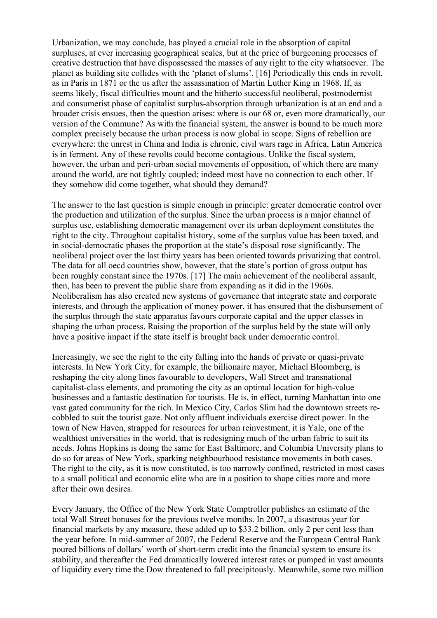Urbanization, we may conclude, has played a crucial role in the absorption of capital surpluses, at ever increasing geographical scales, but at the price of burgeoning processes of creative destruction that have dispossessed the masses of any right to the city whatsoever. The planet as building site collides with the 'planet of slums'. [16] Periodically this ends in revolt, as in Paris in 1871 or the us after the assassination of Martin Luther King in 1968. If, as seems likely, fiscal difficulties mount and the hitherto successful neoliberal, postmodernist and consumerist phase of capitalist surplus-absorption through urbanization is at an end and a broader crisis ensues, then the question arises: where is our 68 or, even more dramatically, our version of the Commune? As with the financial system, the answer is bound to be much more complex precisely because the urban process is now global in scope. Signs of rebellion are everywhere: the unrest in China and India is chronic, civil wars rage in Africa, Latin America is in ferment. Any of these revolts could become contagious. Unlike the fiscal system, however, the urban and peri-urban social movements of opposition, of which there are many around the world, are not tightly coupled; indeed most have no connection to each other. If they somehow did come together, what should they demand?

The answer to the last question is simple enough in principle: greater democratic control over the production and utilization of the surplus. Since the urban process is a major channel of surplus use, establishing democratic management over its urban deployment constitutes the right to the city. Throughout capitalist history, some of the surplus value has been taxed, and in social-democratic phases the proportion at the state's disposal rose significantly. The neoliberal project over the last thirty years has been oriented towards privatizing that control. The data for all oecd countries show, however, that the state's portion of gross output has been roughly constant since the 1970s. [17] The main achievement of the neoliberal assault, then, has been to prevent the public share from expanding as it did in the 1960s. Neoliberalism has also created new systems of governance that integrate state and corporate interests, and through the application of money power, it has ensured that the disbursement of the surplus through the state apparatus favours corporate capital and the upper classes in shaping the urban process. Raising the proportion of the surplus held by the state will only have a positive impact if the state itself is brought back under democratic control.

Increasingly, we see the right to the city falling into the hands of private or quasi-private interests. In New York City, for example, the billionaire mayor, Michael Bloomberg, is reshaping the city along lines favourable to developers, Wall Street and transnational capitalist-class elements, and promoting the city as an optimal location for high-value businesses and a fantastic destination for tourists. He is, in effect, turning Manhattan into one vast gated community for the rich. In Mexico City, Carlos Slim had the downtown streets recobbled to suit the tourist gaze. Not only affluent individuals exercise direct power. In the town of New Haven, strapped for resources for urban reinvestment, it is Yale, one of the wealthiest universities in the world, that is redesigning much of the urban fabric to suit its needs. Johns Hopkins is doing the same for East Baltimore, and Columbia University plans to do so for areas of New York, sparking neighbourhood resistance movements in both cases. The right to the city, as it is now constituted, is too narrowly confined, restricted in most cases to a small political and economic elite who are in a position to shape cities more and more after their own desires.

Every January, the Office of the New York State Comptroller publishes an estimate of the total Wall Street bonuses for the previous twelve months. In 2007, a disastrous year for financial markets by any measure, these added up to \$33.2 billion, only 2 per cent less than the year before. In mid-summer of 2007, the Federal Reserve and the European Central Bank poured billions of dollars' worth of short-term credit into the financial system to ensure its stability, and thereafter the Fed dramatically lowered interest rates or pumped in vast amounts of liquidity every time the Dow threatened to fall precipitously. Meanwhile, some two million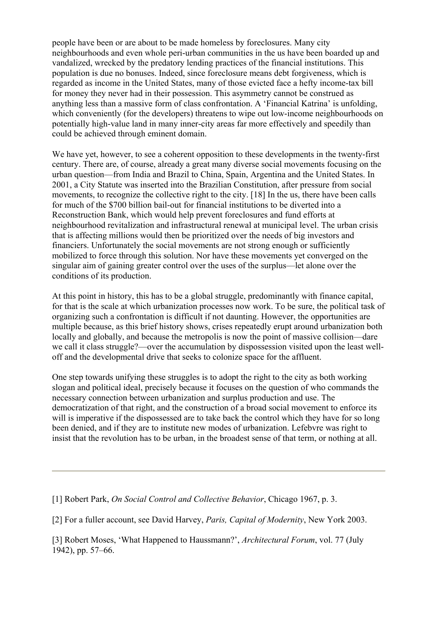people have been or are about to be made homeless by foreclosures. Many city neighbourhoods and even whole peri-urban communities in the us have been boarded up and vandalized, wrecked by the predatory lending practices of the financial institutions. This population is due no bonuses. Indeed, since foreclosure means debt forgiveness, which is regarded as income in the United States, many of those evicted face a hefty income-tax bill for money they never had in their possession. This asymmetry cannot be construed as anything less than a massive form of class confrontation. A 'Financial Katrina' is unfolding, which conveniently (for the developers) threatens to wipe out low-income neighbourhoods on potentially high-value land in many inner-city areas far more effectively and speedily than could be achieved through eminent domain.

We have yet, however, to see a coherent opposition to these developments in the twenty-first century. There are, of course, already a great many diverse social movements focusing on the urban question—from India and Brazil to China, Spain, Argentina and the United States. In 2001, a City Statute was inserted into the Brazilian Constitution, after pressure from social movements, to recognize the collective right to the city. [18] In the us, there have been calls for much of the \$700 billion bail-out for financial institutions to be diverted into a Reconstruction Bank, which would help prevent foreclosures and fund efforts at neighbourhood revitalization and infrastructural renewal at municipal level. The urban crisis that is affecting millions would then be prioritized over the needs of big investors and financiers. Unfortunately the social movements are not strong enough or sufficiently mobilized to force through this solution. Nor have these movements yet converged on the singular aim of gaining greater control over the uses of the surplus—let alone over the conditions of its production.

At this point in history, this has to be a global struggle, predominantly with finance capital, for that is the scale at which urbanization processes now work. To be sure, the political task of organizing such a confrontation is difficult if not daunting. However, the opportunities are multiple because, as this brief history shows, crises repeatedly erupt around urbanization both locally and globally, and because the metropolis is now the point of massive collision—dare we call it class struggle?—over the accumulation by dispossession visited upon the least welloff and the developmental drive that seeks to colonize space for the affluent.

One step towards unifying these struggles is to adopt the right to the city as both working slogan and political ideal, precisely because it focuses on the question of who commands the necessary connection between urbanization and surplus production and use. The democratization of that right, and the construction of a broad social movement to enforce its will is imperative if the dispossessed are to take back the control which they have for so long been denied, and if they are to institute new modes of urbanization. Lefebvre was right to insist that the revolution has to be urban, in the broadest sense of that term, or nothing at all.

<sup>[1]</sup> Robert Park, *On Social Control and Collective Behavior*, Chicago 1967, p. 3.

<sup>[2]</sup> For a fuller account, see David Harvey, *Paris, Capital of Modernity*, New York 2003.

<sup>[3]</sup> Robert Moses, 'What Happened to Haussmann?', *Architectural Forum*, vol. 77 (July 1942), pp. 57–66.